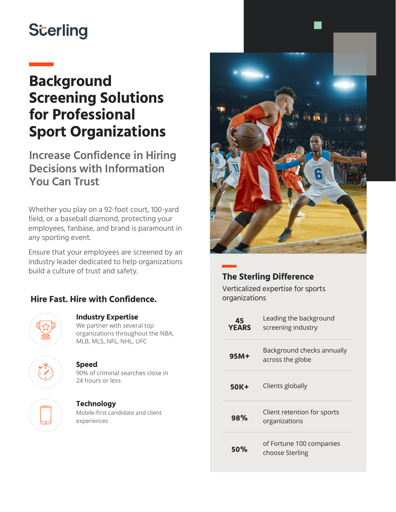# **S**cerling

# **Background Screening Solutions for Professional Sport Organizations**

**Increase Confidence in Hiring Decisions with Information You Can Trust** 

Whether you play on a 92-foot court, 100-yard field, or a baseball diamond, protecting your employees, fanbase, and brand is paramount in any sporting event.

Ensure that your employees are screened by an industry leader dedicated to help organizations build a culture of trust and safety.

# **Hire Fast. Hire with Confidence.**



# We partner with several top

**Industry Expertise**

organizations throughout the NBA, MLB, MLS, NFL, NHL, UFC



## **Speed**

90% of criminal searches close in 24 hours or less

# **Technology**

Mobile-first candidate and client experiences



# **The Sterling Difference**

Verticalized expertise for sports organizations

| 45<br><b>YEARS</b> | Leading the background<br>screening industry   |
|--------------------|------------------------------------------------|
| 95M+               | Background checks annually<br>across the globe |
| 50K+               | Clients globally                               |
| 98%                | Client retention for sports<br>organizations   |
| 50%                | of Fortune 100 companies<br>choose Sterling    |